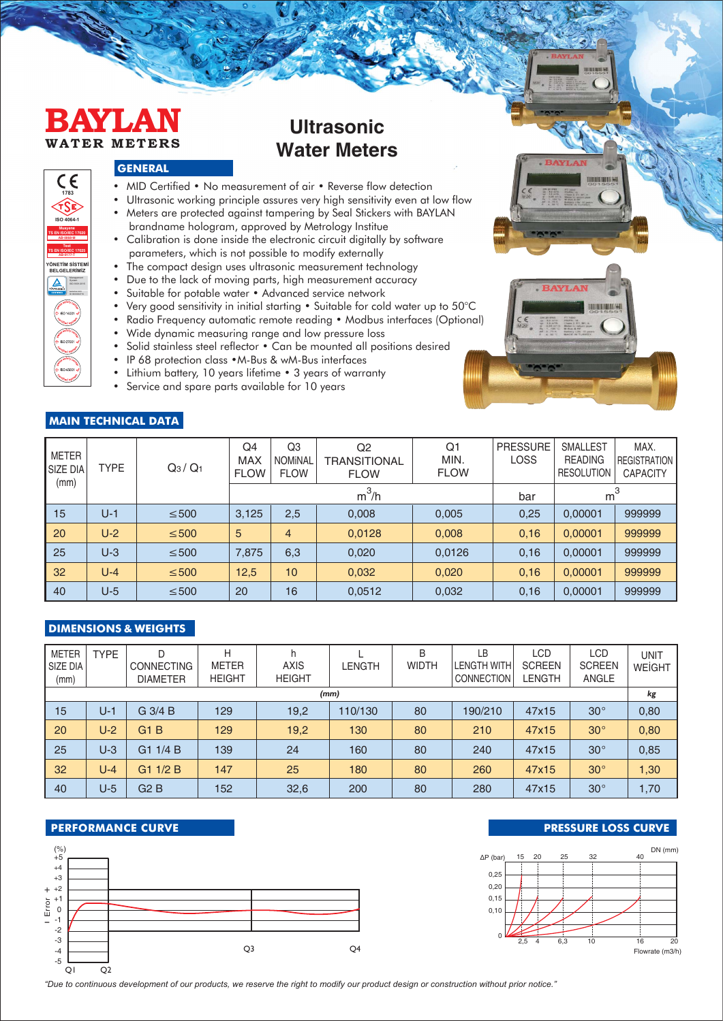# **BAYLAN WATER METERS**

**YÖNETİM SİSTEMİ BELGELERİMİZ**

Management System ISO 9001:2015

**1783**

 $\epsilon$ 

**ISO 4064-1 Muayene TS EN ISO/IEC 17020 AB-0068-M Test TS EN ISO/IEC 17025 AB-0177-T**

# **Ultrasonic Water Meters**

# **GENERAL**

- MID Certified No measurement of air Reverse flow detection
- Ultrasonic working principle assures very high sensitivity even at low flow
- Meters are protected against tampering by Seal Stickers with BAYLAN brandname hologram, approved by Metrology Institue
- Calibration is done inside the electronic circuit digitally by software parameters, which is not possible to modify externally
- The compact design uses ultrasonic measurement technology
- Due to the lack of moving parts, high measurement accuracy
- Suitable for potable water Advanced service network
- Very good sensitivity in initial starting Suitable for cold water up to 50°C
- Radio Frequency automatic remote reading Modbus interfaces (Optional)
- Wide dynamic measuring range and low pressure loss
- Solid stainless steel reflector Can be mounted all positions desired
- IP 68 protection class •M-Bus & wM-Bus interfaces
- Lithium battery, 10 years lifetime 3 years of warranty
- Service and spare parts available for 10 years

# **MAIN TECHNICAL DATA**

| I METER<br>SIZE DIA<br>(mm) | <b>TYPE</b> | $Q_3/Q_1$  | Q4<br><b>MAX</b><br><b>FLOW</b> | Q <sub>3</sub><br><b>NOMINAL</b><br><b>FLOW</b> | Q2<br><b>TRANSITIONAL</b><br><b>FLOW</b> | Q <sub>1</sub><br>MIN.<br><b>FLOW</b> | <b>PRESSURE</b><br>LOSS | <b>SMALLEST</b><br><b>READING</b><br><b>RESOLUTION</b> | MAX.<br><b>REGISTRATION</b><br><b>CAPACITY</b> |
|-----------------------------|-------------|------------|---------------------------------|-------------------------------------------------|------------------------------------------|---------------------------------------|-------------------------|--------------------------------------------------------|------------------------------------------------|
|                             |             |            |                                 |                                                 | $m^3/h$                                  | bar                                   | m <sup>3</sup>          |                                                        |                                                |
| 15                          | $U-1$       | $\leq 500$ | 3,125                           | 2,5                                             | 0,008                                    | 0,005                                 | 0,25                    | 0,00001                                                | 999999                                         |
| l 20                        | $U-2$       | $\leq 500$ | 5                               | $\overline{4}$                                  | 0,0128                                   | 0,008                                 | 0,16                    | 0,00001                                                | 999999                                         |
| 25                          | $U-3$       | $\leq 500$ | 7,875                           | 6,3                                             | 0,020                                    | 0,0126                                | 0,16                    | 0,00001                                                | 999999                                         |
| $\vert$ 32                  | $U - 4$     | $\leq 500$ | 12,5                            | 10                                              | 0,032                                    | 0,020                                 | 0,16                    | 0,00001                                                | 999999                                         |
| 40                          | $U-5$       | $\leq 500$ | 20                              | 16                                              | 0,0512                                   | 0,032                                 | 0,16                    | 0,00001                                                | 999999                                         |

### **DIMENSIONS & WEIGHTS**

| <b>METER</b><br>SIZE DIA<br>(mm) | <b>TYPE</b> | D<br><b>CONNECTING</b><br><b>DIAMETER</b> | Н<br><b>METER</b><br><b>HEIGHT</b> | h<br><b>AXIS</b><br><b>HEIGHT</b> | <b>LENGTH</b> | B<br><b>WIDTH</b> | LB<br><b>LENGTH WITH</b><br><b>CONNECTION</b> | LCD<br><b>SCREEN</b><br>LENGTH | LCD<br><b>SCREEN</b><br><b>ANGLE</b> | <b>UNIT</b><br><b>WEIGHT</b> |
|----------------------------------|-------------|-------------------------------------------|------------------------------------|-----------------------------------|---------------|-------------------|-----------------------------------------------|--------------------------------|--------------------------------------|------------------------------|
|                                  |             |                                           |                                    | (mm)                              |               |                   |                                               |                                |                                      | kg                           |
| 15                               | $U-1$       | $G$ 3/4 B                                 | 129                                | 19,2                              | 110/130       | 80                | 190/210                                       | 47x15                          | $30^{\circ}$                         | 0,80                         |
| 20                               | $U-2$       | G1B                                       | 129                                | 19.2                              | 130           | 80                | 210                                           | 47x15                          | $30^\circ$                           | 0,80                         |
| 25                               | $U-3$       | 1/4B<br>G <sub>1</sub>                    | 139                                | 24                                | 160           | 80                | 240                                           | 47x15                          | $30^\circ$                           | 0,85                         |
| 32                               | $U - 4$     | G11/2B                                    | 147                                | 25                                | 180           | 80                | 260                                           | 47x15                          | $30^\circ$                           | 1,30                         |
| 40                               | $U-5$       | G2B                                       | 152                                | 32,6                              | 200           | 80                | 280                                           | 47x15                          | $30^\circ$                           | 1,70                         |



#### **PERFORMANCE CURVE PERFORMANCE CURVE**



*"Due to cont�nuous development of our products, we reserve the r�ght to mod�fy our product des�gn or construct�on w�thout pr�or not�ce."*